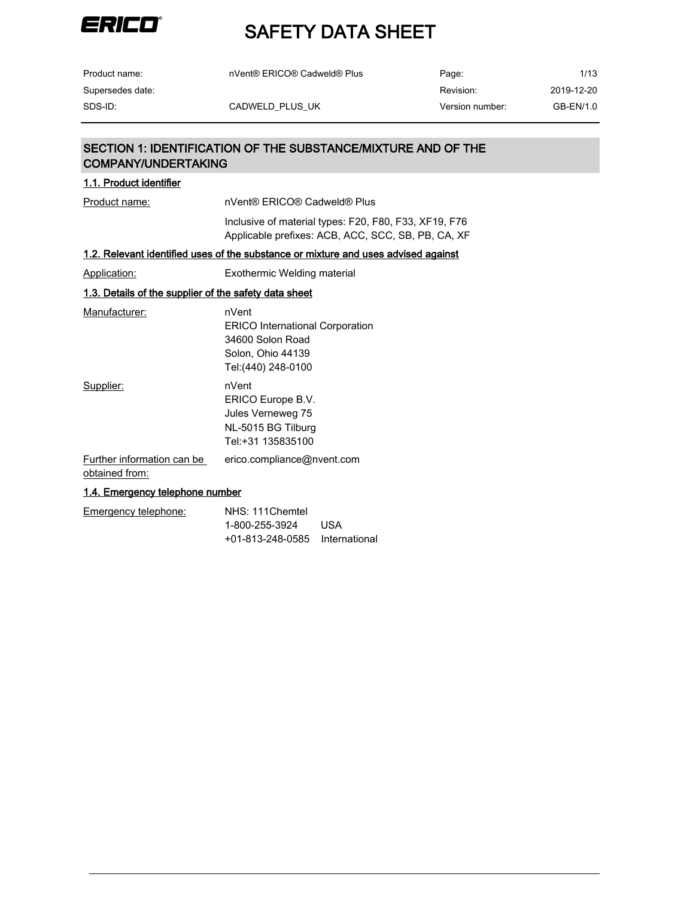

| Product name:    | nVent® ERICO® Cadweld® Plus | Page:           | 1/13       |
|------------------|-----------------------------|-----------------|------------|
| Supersedes date: |                             | Revision:       | 2019-12-20 |
| SDS-ID:          | CADWELD PLUS UK             | Version number: | GB-EN/1.0  |

### SECTION 1: IDENTIFICATION OF THE SUBSTANCE/MIXTURE AND OF THE COMPANY/UNDERTAKING

| 1.1. Product identifier                               |                                                                                                                 |
|-------------------------------------------------------|-----------------------------------------------------------------------------------------------------------------|
| Product name:                                         | nVent® ERICO® Cadweld® Plus                                                                                     |
|                                                       | Inclusive of material types: F20, F80, F33, XF19, F76<br>Applicable prefixes: ACB, ACC, SCC, SB, PB, CA, XF     |
|                                                       | <u>1.2. Relevant identified uses of the substance or mixture and uses advised against</u>                       |
| <b>Application:</b>                                   | Exothermic Welding material                                                                                     |
| 1.3. Details of the supplier of the safety data sheet |                                                                                                                 |
| Manufacturer:                                         | nVent<br><b>ERICO International Corporation</b><br>34600 Solon Road<br>Solon, Ohio 44139<br>Tel: (440) 248-0100 |
| Supplier:                                             | nVent<br>ERICO Europe B.V.<br>Jules Verneweg 75<br>NL-5015 BG Tilburg<br>Tel:+31 135835100                      |
| Further information can be<br>obtained from:          | erico.compliance@nvent.com                                                                                      |
| 1.4. Emergency telephone number                       |                                                                                                                 |

| Emergency telephone: | NHS: 111Chemtel                |     |
|----------------------|--------------------------------|-----|
|                      | 1-800-255-3924                 | USA |
|                      | +01-813-248-0585 International |     |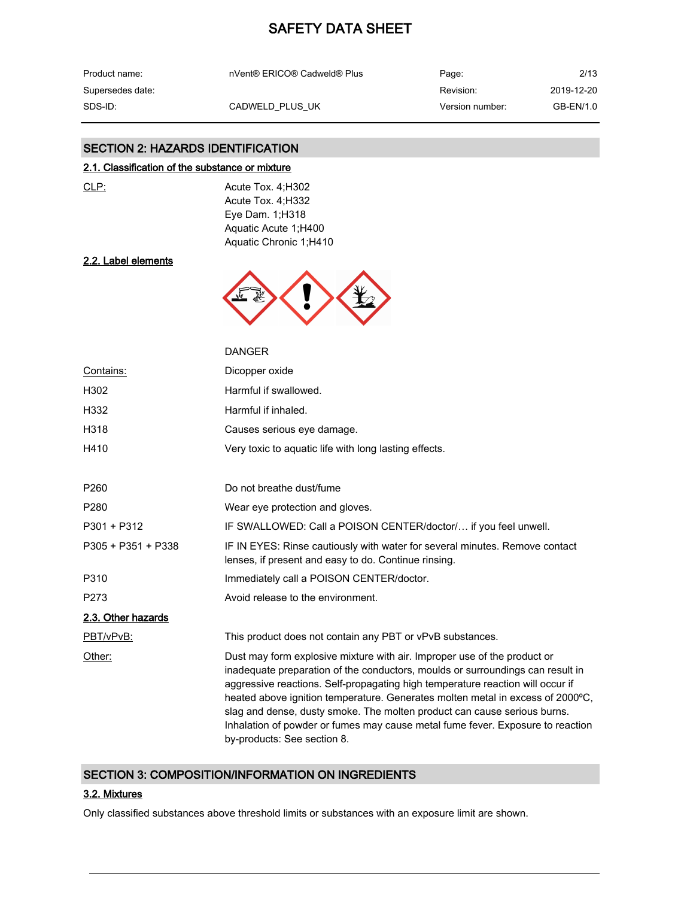| Product name:    | nVent® ERICO® Cadweld® Plus | Page:           | 2/13       |
|------------------|-----------------------------|-----------------|------------|
| Supersedes date: |                             | Revision:       | 2019-12-20 |
| SDS-ID:          | CADWELD PLUS UK             | Version number: | GB-EN/1.0  |

#### SECTION 2: HAZARDS IDENTIFICATION

#### 2.1. Classification of the substance or mixture

|    | ٦ |
|----|---|
| ۰. |   |

 $\frac{c_1}{c_2}$  Acute Tox. 4;H302 Acute Tox. 4;H332 Eye Dam. 1;H318 Aquatic Acute 1;H400 Aquatic Chronic 1;H410

#### 2.2. Label elements



|                    | <b>DANGER</b>                                                                                                                                                                                                                                                                                                                                                                                                                                                                                                               |
|--------------------|-----------------------------------------------------------------------------------------------------------------------------------------------------------------------------------------------------------------------------------------------------------------------------------------------------------------------------------------------------------------------------------------------------------------------------------------------------------------------------------------------------------------------------|
| Contains:          | Dicopper oxide                                                                                                                                                                                                                                                                                                                                                                                                                                                                                                              |
| H302               | Harmful if swallowed.                                                                                                                                                                                                                                                                                                                                                                                                                                                                                                       |
| H332               | Harmful if inhaled.                                                                                                                                                                                                                                                                                                                                                                                                                                                                                                         |
| H318               | Causes serious eye damage.                                                                                                                                                                                                                                                                                                                                                                                                                                                                                                  |
| H410               | Very toxic to aquatic life with long lasting effects.                                                                                                                                                                                                                                                                                                                                                                                                                                                                       |
|                    |                                                                                                                                                                                                                                                                                                                                                                                                                                                                                                                             |
| P <sub>260</sub>   | Do not breathe dust/fume                                                                                                                                                                                                                                                                                                                                                                                                                                                                                                    |
| P <sub>280</sub>   | Wear eye protection and gloves.                                                                                                                                                                                                                                                                                                                                                                                                                                                                                             |
| P301 + P312        | IF SWALLOWED: Call a POISON CENTER/doctor/ if you feel unwell.                                                                                                                                                                                                                                                                                                                                                                                                                                                              |
| P305 + P351 + P338 | IF IN EYES: Rinse cautiously with water for several minutes. Remove contact<br>lenses, if present and easy to do. Continue rinsing.                                                                                                                                                                                                                                                                                                                                                                                         |
| P310               | Immediately call a POISON CENTER/doctor.                                                                                                                                                                                                                                                                                                                                                                                                                                                                                    |
| P273               | Avoid release to the environment.                                                                                                                                                                                                                                                                                                                                                                                                                                                                                           |
| 2.3. Other hazards |                                                                                                                                                                                                                                                                                                                                                                                                                                                                                                                             |
| PBT/vPvB:          | This product does not contain any PBT or vPvB substances.                                                                                                                                                                                                                                                                                                                                                                                                                                                                   |
| Other:             | Dust may form explosive mixture with air. Improper use of the product or<br>inadequate preparation of the conductors, moulds or surroundings can result in<br>aggressive reactions. Self-propagating high temperature reaction will occur if<br>heated above ignition temperature. Generates molten metal in excess of 2000°C,<br>slag and dense, dusty smoke. The molten product can cause serious burns.<br>Inhalation of powder or fumes may cause metal fume fever. Exposure to reaction<br>by-products: See section 8. |

#### SECTION 3: COMPOSITION/INFORMATION ON INGREDIENTS

#### 3.2. Mixtures

Only classified substances above threshold limits or substances with an exposure limit are shown.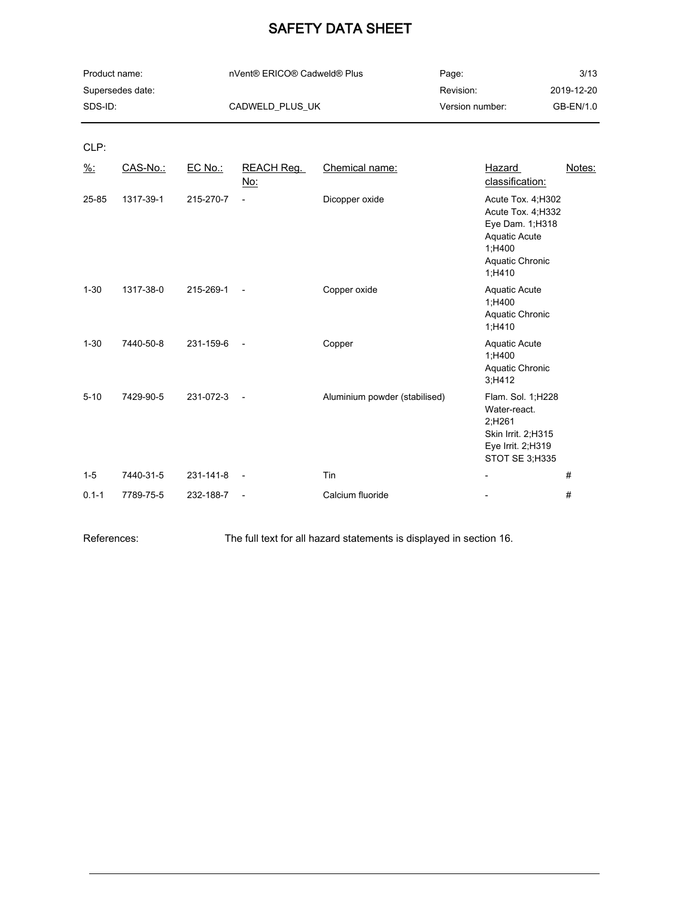| Product name:    | nVent® ERICO® Cadweld® Plus | Page:           | 3/13       |
|------------------|-----------------------------|-----------------|------------|
| Supersedes date: |                             | Revision:       | 2019-12-20 |
| SDS-ID:          | CADWELD PLUS UK             | Version number: | GB-EN/1.0  |

CLP:

| $\frac{9}{6}$ : | CAS-No.:  | EC No.:   | <b>REACH Reg.</b><br><u>No:</u> | Chemical name:                | <b>Hazard</b><br>classification:                                                                                           | Notes: |
|-----------------|-----------|-----------|---------------------------------|-------------------------------|----------------------------------------------------------------------------------------------------------------------------|--------|
| 25-85           | 1317-39-1 | 215-270-7 | $\overline{\phantom{a}}$        | Dicopper oxide                | Acute Tox. 4; H302<br>Acute Tox. 4;H332<br>Eye Dam. 1; H318<br><b>Aquatic Acute</b><br>1;H400<br>Aquatic Chronic<br>1;H410 |        |
| $1 - 30$        | 1317-38-0 | 215-269-1 | $\overline{\phantom{a}}$        | Copper oxide                  | <b>Aquatic Acute</b><br>1;H400<br>Aquatic Chronic<br>1,H410                                                                |        |
| $1 - 30$        | 7440-50-8 | 231-159-6 | $\overline{\phantom{a}}$        | Copper                        | <b>Aquatic Acute</b><br>1,H400<br>Aquatic Chronic<br>3;H412                                                                |        |
| $5 - 10$        | 7429-90-5 | 231-072-3 | $\overline{\phantom{a}}$        | Aluminium powder (stabilised) | Flam. Sol. 1;H228<br>Water-react.<br>2;H261<br>Skin Irrit. 2;H315<br>Eye Irrit. 2;H319<br>STOT SE 3;H335                   |        |
| $1 - 5$         | 7440-31-5 | 231-141-8 | $\overline{\phantom{a}}$        | Tin                           |                                                                                                                            | #      |
| $0.1 - 1$       | 7789-75-5 | 232-188-7 | $\overline{\phantom{a}}$        | Calcium fluoride              |                                                                                                                            | #      |

References: The full text for all hazard statements is displayed in section 16.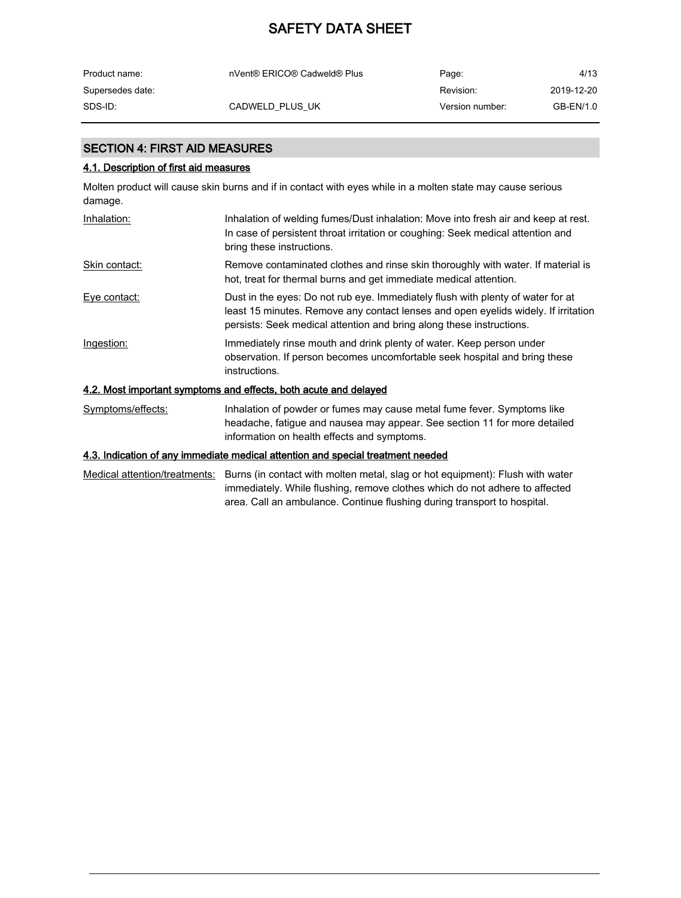| Product name:    | nVent® ERICO® Cadweld® Plus | Page:           | 4/13       |
|------------------|-----------------------------|-----------------|------------|
| Supersedes date: |                             | Revision:       | 2019-12-20 |
| SDS-ID:          | CADWELD PLUS UK             | Version number: | GB-EN/1.0  |

#### SECTION 4: FIRST AID MEASURES

#### 4.1. Description of first aid measures

Molten product will cause skin burns and if in contact with eyes while in a molten state may cause serious damage.

| Inhalation:       | Inhalation of welding fumes/Dust inhalation: Move into fresh air and keep at rest.<br>In case of persistent throat irritation or coughing: Seek medical attention and<br>bring these instructions.                                            |
|-------------------|-----------------------------------------------------------------------------------------------------------------------------------------------------------------------------------------------------------------------------------------------|
| Skin contact:     | Remove contaminated clothes and rinse skin thoroughly with water. If material is<br>hot, treat for thermal burns and get immediate medical attention.                                                                                         |
| Eye contact:      | Dust in the eyes: Do not rub eye. Immediately flush with plenty of water for at<br>least 15 minutes. Remove any contact lenses and open eyelids widely. If irritation<br>persists: Seek medical attention and bring along these instructions. |
| Ingestion:        | Immediately rinse mouth and drink plenty of water. Keep person under<br>observation. If person becomes uncomfortable seek hospital and bring these<br>instructions.                                                                           |
|                   | 4.2. Most important symptoms and effects, both acute and delayed                                                                                                                                                                              |
| Symptoms/effects: | Inhalation of powder or fumes may cause metal fume fever. Symptoms like                                                                                                                                                                       |

headache, fatigue and nausea may appear. See section 11 for more detailed

## 4.3. Indication of any immediate medical attention and special treatment needed

Medical attention/treatments: Burns (in contact with molten metal, slag or hot equipment): Flush with water immediately. While flushing, remove clothes which do not adhere to affected area. Call an ambulance. Continue flushing during transport to hospital.

information on health effects and symptoms.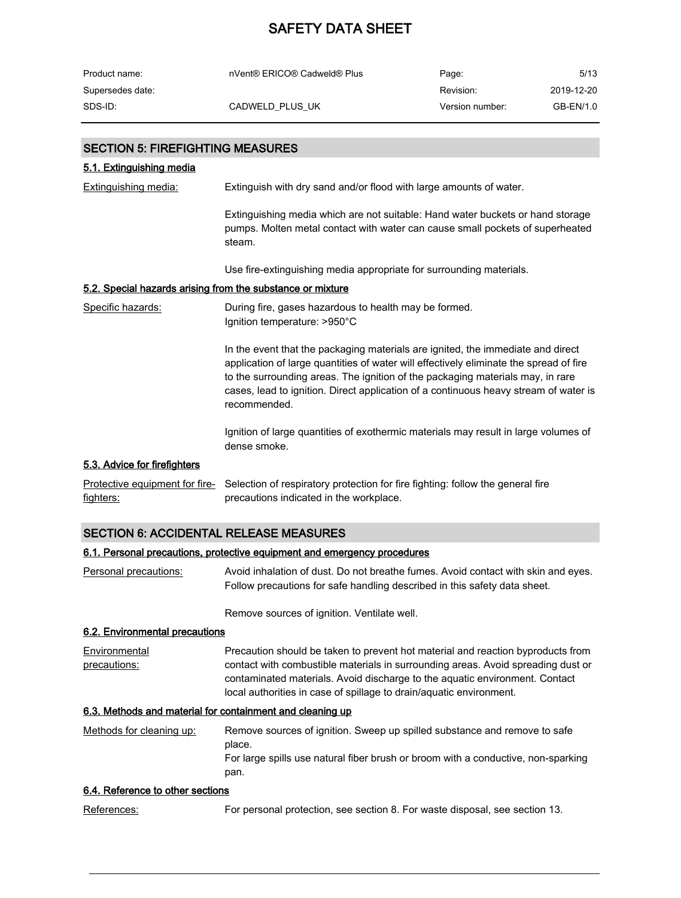| Product name:    | nVent® ERICO® Cadweld® Plus | Page:           | 5/13       |
|------------------|-----------------------------|-----------------|------------|
| Supersedes date: |                             | Revision:       | 2019-12-20 |
| SDS-ID:          | CADWELD PLUS UK             | Version number: | GB-EN/1.0  |

| <b>SECTION 5: FIREFIGHTING MEASURES</b>                    |                                                                                                                                                                                                                                                                                                                                                                     |
|------------------------------------------------------------|---------------------------------------------------------------------------------------------------------------------------------------------------------------------------------------------------------------------------------------------------------------------------------------------------------------------------------------------------------------------|
| 5.1. Extinguishing media                                   |                                                                                                                                                                                                                                                                                                                                                                     |
| <b>Extinguishing media:</b>                                | Extinguish with dry sand and/or flood with large amounts of water.                                                                                                                                                                                                                                                                                                  |
|                                                            | Extinguishing media which are not suitable: Hand water buckets or hand storage<br>pumps. Molten metal contact with water can cause small pockets of superheated<br>steam.                                                                                                                                                                                           |
|                                                            | Use fire-extinguishing media appropriate for surrounding materials.                                                                                                                                                                                                                                                                                                 |
| 5.2. Special hazards arising from the substance or mixture |                                                                                                                                                                                                                                                                                                                                                                     |
| Specific hazards:                                          | During fire, gases hazardous to health may be formed.<br>Ignition temperature: >950°C                                                                                                                                                                                                                                                                               |
|                                                            | In the event that the packaging materials are ignited, the immediate and direct<br>application of large quantities of water will effectively eliminate the spread of fire<br>to the surrounding areas. The ignition of the packaging materials may, in rare<br>cases, lead to ignition. Direct application of a continuous heavy stream of water is<br>recommended. |
|                                                            | Ignition of large quantities of exothermic materials may result in large volumes of<br>dense smoke.                                                                                                                                                                                                                                                                 |
| 5.3. Advice for firefighters                               |                                                                                                                                                                                                                                                                                                                                                                     |
| Protective equipment for fire-<br>fighters:                | Selection of respiratory protection for fire fighting: follow the general fire<br>precautions indicated in the workplace.                                                                                                                                                                                                                                           |

#### SECTION 6: ACCIDENTAL RELEASE MEASURES

#### 6.1. Personal precautions, protective equipment and emergency procedures

Personal precautions: Avoid inhalation of dust. Do not breathe fumes. Avoid contact with skin and eyes. Follow precautions for safe handling described in this safety data sheet.

Remove sources of ignition. Ventilate well.

#### 6.2. Environmental precautions

**Environmental** precautions: Precaution should be taken to prevent hot material and reaction byproducts from contact with combustible materials in surrounding areas. Avoid spreading dust or contaminated materials. Avoid discharge to the aquatic environment. Contact local authorities in case of spillage to drain/aquatic environment.

#### 6.3. Methods and material for containment and cleaning up

| Methods for cleaning up: | Remove sources of ignition. Sweep up spilled substance and remove to safe         |
|--------------------------|-----------------------------------------------------------------------------------|
|                          | place.                                                                            |
|                          | For large spills use natural fiber brush or broom with a conductive, non-sparking |
|                          | pan.                                                                              |

#### 6.4. Reference to other sections

| References: |  | For personal protection, see section 8. For waste disposal, see section 13. |  |  |
|-------------|--|-----------------------------------------------------------------------------|--|--|
|             |  |                                                                             |  |  |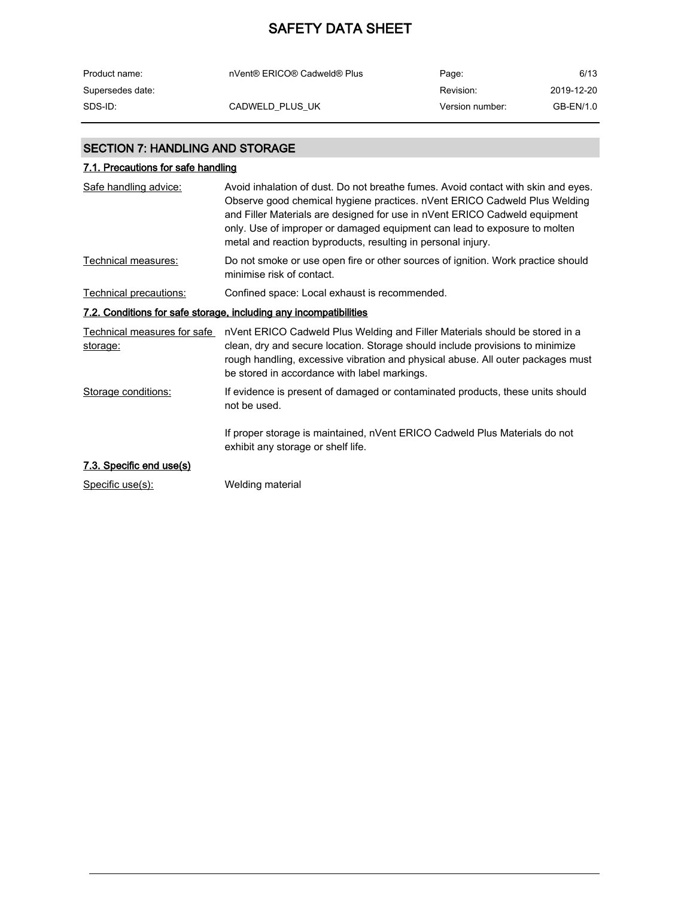| Product name:    | nVent® ERICO® Cadweld® Plus | Page:           | 6/13       |
|------------------|-----------------------------|-----------------|------------|
| Supersedes date: |                             | Revision:       | 2019-12-20 |
| SDS-ID:          | CADWELD PLUS UK             | Version number: | GB-EN/1.0  |

### SECTION 7: HANDLING AND STORAGE

## 7.1. Precautions for safe handling

| Safe handling advice:                   | Avoid inhalation of dust. Do not breathe fumes. Avoid contact with skin and eyes.<br>Observe good chemical hygiene practices. nVent ERICO Cadweld Plus Welding<br>and Filler Materials are designed for use in nVent ERICO Cadweld equipment<br>only. Use of improper or damaged equipment can lead to exposure to molten<br>metal and reaction byproducts, resulting in personal injury. |
|-----------------------------------------|-------------------------------------------------------------------------------------------------------------------------------------------------------------------------------------------------------------------------------------------------------------------------------------------------------------------------------------------------------------------------------------------|
| Technical measures:                     | Do not smoke or use open fire or other sources of ignition. Work practice should<br>minimise risk of contact.                                                                                                                                                                                                                                                                             |
| Technical precautions:                  | Confined space: Local exhaust is recommended.                                                                                                                                                                                                                                                                                                                                             |
|                                         | 7.2. Conditions for safe storage, including any incompatibilities                                                                                                                                                                                                                                                                                                                         |
| Technical measures for safe<br>storage: | nVent ERICO Cadweld Plus Welding and Filler Materials should be stored in a<br>clean, dry and secure location. Storage should include provisions to minimize<br>rough handling, excessive vibration and physical abuse. All outer packages must<br>be stored in accordance with label markings.                                                                                           |
| Storage conditions:                     | If evidence is present of damaged or contaminated products, these units should<br>not be used.                                                                                                                                                                                                                                                                                            |
|                                         | If proper storage is maintained, nVent ERICO Cadweld Plus Materials do not<br>exhibit any storage or shelf life.                                                                                                                                                                                                                                                                          |
| 7.3. Specific end use(s)                |                                                                                                                                                                                                                                                                                                                                                                                           |
| Specific use(s):                        | Welding material                                                                                                                                                                                                                                                                                                                                                                          |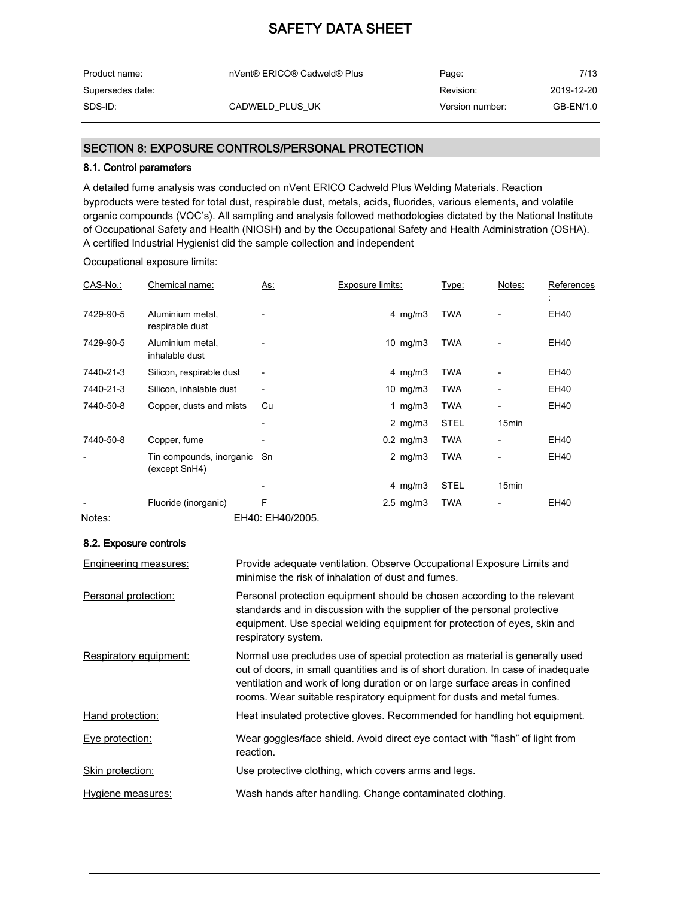| Product name:    | nVent® ERICO® Cadweld® Plus | Page:           | 7/13       |
|------------------|-----------------------------|-----------------|------------|
| Supersedes date: |                             | Revision:       | 2019-12-20 |
| SDS-ID:          | CADWELD PLUS UK             | Version number: | GB-EN/1.0  |

#### SECTION 8: EXPOSURE CONTROLS/PERSONAL PROTECTION

#### 8.1. Control parameters

A detailed fume analysis was conducted on nVent ERICO Cadweld Plus Welding Materials. Reaction byproducts were tested for total dust, respirable dust, metals, acids, fluorides, various elements, and volatile organic compounds (VOC's). All sampling and analysis followed methodologies dictated by the National Institute of Occupational Safety and Health (NIOSH) and by the Occupational Safety and Health Administration (OSHA). A certified Industrial Hygienist did the sample collection and independent

Occupational exposure limits:

| CAS-No.:  | Chemical name:                               | <u>As:</u>               | Exposure limits:     | Type:       | Notes:                   | References |
|-----------|----------------------------------------------|--------------------------|----------------------|-------------|--------------------------|------------|
|           |                                              |                          |                      |             |                          | Δ          |
| 7429-90-5 | Aluminium metal,<br>respirable dust          |                          | 4 mg/m $3$           | TWA         |                          | EH40       |
| 7429-90-5 | Aluminium metal,<br>inhalable dust           |                          | 10 $mg/m3$           | TWA         |                          | EH40       |
| 7440-21-3 | Silicon, respirable dust                     | $\overline{\phantom{a}}$ | 4 mg/m $3$           | TWA         |                          | EH40       |
| 7440-21-3 | Silicon, inhalable dust                      | $\overline{\phantom{a}}$ | 10 $mg/m3$           | TWA         |                          | EH40       |
| 7440-50-8 | Copper, dusts and mists                      | Cu                       | 1 mg/m $3$           | TWA         | $\overline{\phantom{a}}$ | EH40       |
|           |                                              | -                        | 2 mg/m $3$           | <b>STEL</b> | 15 <sub>min</sub>        |            |
| 7440-50-8 | Copper, fume                                 |                          | $0.2$ mg/m $3$       | <b>TWA</b>  |                          | EH40       |
|           | Tin compounds, inorganic Sn<br>(except SnH4) |                          | 2 $mg/m3$            | TWA         |                          | EH40       |
|           |                                              | $\overline{\phantom{0}}$ | 4 mg/m $3$           | <b>STEL</b> | 15min                    |            |
|           | Fluoride (inorganic)                         | F                        | $2.5 \text{ mg/m}$ 3 | <b>TWA</b>  |                          | EH40       |
| Notes:    |                                              | EH40: EH40/2005.         |                      |             |                          |            |

#### 8.2. Exposure controls

| Engineering measures:  | Provide adequate ventilation. Observe Occupational Exposure Limits and<br>minimise the risk of inhalation of dust and fumes.                                                                                                                                                                                              |
|------------------------|---------------------------------------------------------------------------------------------------------------------------------------------------------------------------------------------------------------------------------------------------------------------------------------------------------------------------|
| Personal protection:   | Personal protection equipment should be chosen according to the relevant<br>standards and in discussion with the supplier of the personal protective<br>equipment. Use special welding equipment for protection of eyes, skin and<br>respiratory system.                                                                  |
| Respiratory equipment: | Normal use precludes use of special protection as material is generally used<br>out of doors, in small quantities and is of short duration. In case of inadequate<br>ventilation and work of long duration or on large surface areas in confined<br>rooms. Wear suitable respiratory equipment for dusts and metal fumes. |
| Hand protection:       | Heat insulated protective gloves. Recommended for handling hot equipment.                                                                                                                                                                                                                                                 |
| Eye protection:        | Wear goggles/face shield. Avoid direct eye contact with "flash" of light from<br>reaction.                                                                                                                                                                                                                                |
| Skin protection:       | Use protective clothing, which covers arms and legs.                                                                                                                                                                                                                                                                      |
| Hygiene measures:      | Wash hands after handling. Change contaminated clothing.                                                                                                                                                                                                                                                                  |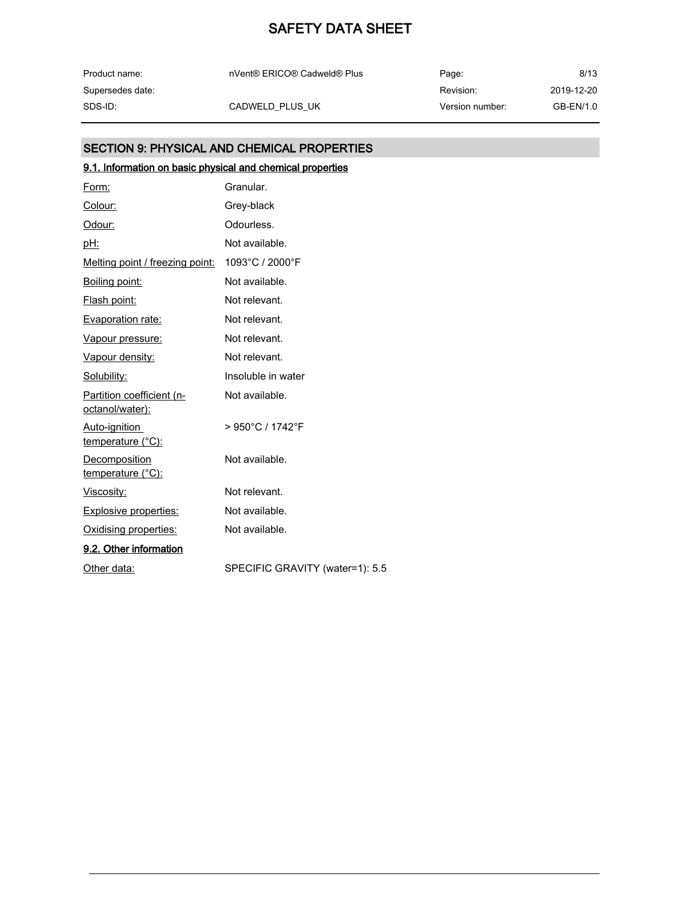| Product name:    | nVent® ERICO® Cadweld® Plus | Page:           | 8/13       |
|------------------|-----------------------------|-----------------|------------|
| Supersedes date: |                             | Revision:       | 2019-12-20 |
| SDS-ID:          | CADWELD PLUS UK             | Version number: | GB-EN/1.0  |

### SECTION 9: PHYSICAL AND CHEMICAL PROPERTIES

## 9.1. Information on basic physical and chemical properties

| Form:                                        | Granular.                             |
|----------------------------------------------|---------------------------------------|
| Colour:                                      | Grey-black                            |
| Odour:                                       | Odourless.                            |
| pH:                                          | Not available.                        |
| Melting point / freezing point:              | 1093°C / 2000°F                       |
| Boiling point:                               | Not available.                        |
| Flash point:                                 | Not relevant.                         |
| Evaporation rate:                            | Not relevant.                         |
| Vapour pressure:                             | Not relevant.                         |
| Vapour density:                              | Not relevant.                         |
| Solubility:                                  | Insoluble in water                    |
| Partition coefficient (n-<br>octanol/water): | Not available.                        |
| Auto-ignition<br><u>temperature (°C):</u>    | $> 950^{\circ}$ C / 1742 $^{\circ}$ F |
| Decomposition<br>temperature (°C):           | Not available.                        |
| Viscosity:                                   | Not relevant.                         |
| <b>Explosive properties:</b>                 | Not available.                        |
| Oxidising properties:                        | Not available.                        |
| 9.2. Other information                       |                                       |
| Other data:                                  | SPECIFIC GRAVITY (water=1): 5.5       |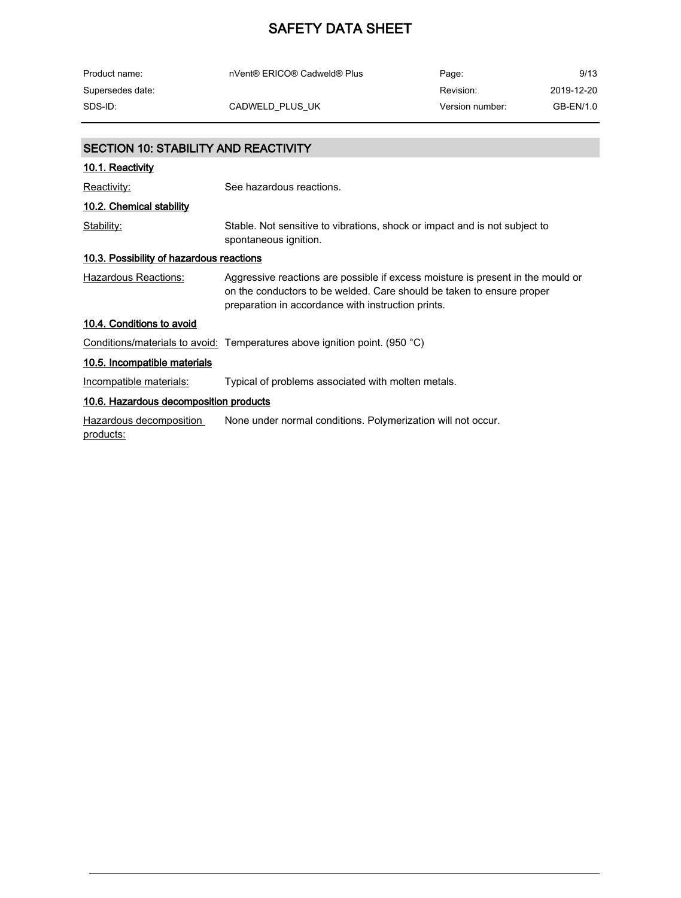| Product name:    | nVent® ERICO® Cadweld® Plus | Page:           | 9/13       |
|------------------|-----------------------------|-----------------|------------|
| Supersedes date: |                             | Revision:       | 2019-12-20 |
| SDS-ID:          | CADWELD PLUS UK             | Version number: | GB-EN/1.0  |

| <b>SECTION 10: STABILITY AND REACTIVITY</b>     |                                                                                                                                                                                                                |  |  |
|-------------------------------------------------|----------------------------------------------------------------------------------------------------------------------------------------------------------------------------------------------------------------|--|--|
| 10.1. Reactivity                                |                                                                                                                                                                                                                |  |  |
| Reactivity:                                     | See hazardous reactions.                                                                                                                                                                                       |  |  |
| 10.2. Chemical stability                        |                                                                                                                                                                                                                |  |  |
| Stability:                                      | Stable. Not sensitive to vibrations, shock or impact and is not subject to<br>spontaneous ignition.                                                                                                            |  |  |
| <u>10.3. Possibility of hazardous reactions</u> |                                                                                                                                                                                                                |  |  |
| Hazardous Reactions:                            | Aggressive reactions are possible if excess moisture is present in the mould or<br>on the conductors to be welded. Care should be taken to ensure proper<br>preparation in accordance with instruction prints. |  |  |
| 10.4. Conditions to avoid                       |                                                                                                                                                                                                                |  |  |
|                                                 | Conditions/materials to avoid: Temperatures above ignition point. (950 °C)                                                                                                                                     |  |  |
| 10.5. Incompatible materials                    |                                                                                                                                                                                                                |  |  |
| Incompatible materials:                         | Typical of problems associated with molten metals.                                                                                                                                                             |  |  |
| 10.6. Hazardous decomposition products          |                                                                                                                                                                                                                |  |  |
| Hazardous decomposition<br>products:            | None under normal conditions. Polymerization will not occur.                                                                                                                                                   |  |  |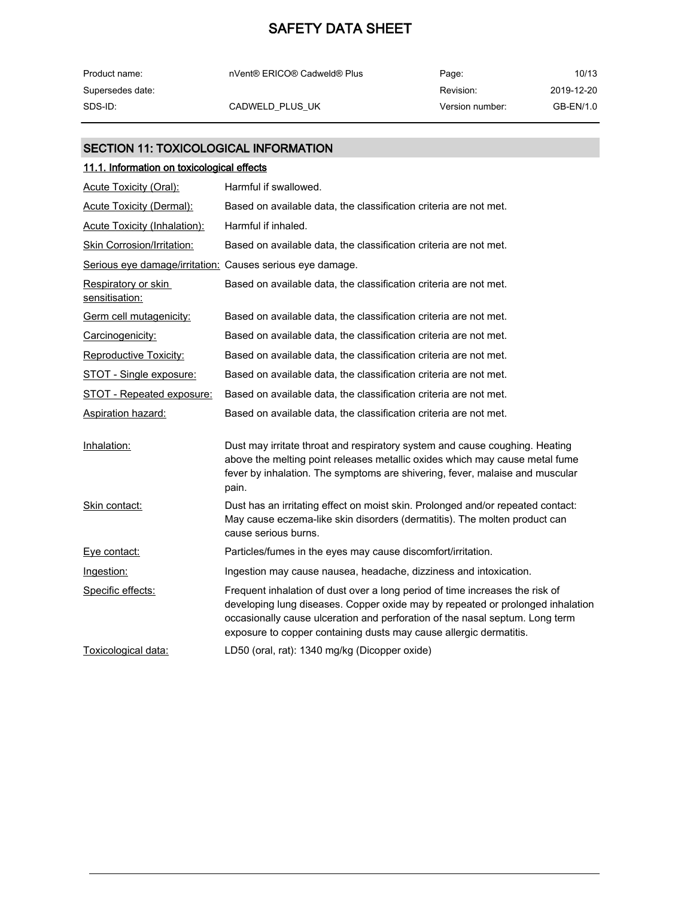| Product name:    | nVent® ERICO® Cadweld® Plus | Page:           | 10/13      |
|------------------|-----------------------------|-----------------|------------|
| Supersedes date: |                             | Revision:       | 2019-12-20 |
| SDS-ID:          | CADWELD PLUS UK             | Version number: | GB-EN/1.0  |

### SECTION 11: TOXICOLOGICAL INFORMATION

| 11.1. Information on toxicological effects                |                                                                                                                                                                                                                                                                                                                      |  |
|-----------------------------------------------------------|----------------------------------------------------------------------------------------------------------------------------------------------------------------------------------------------------------------------------------------------------------------------------------------------------------------------|--|
| <b>Acute Toxicity (Oral):</b>                             | Harmful if swallowed.                                                                                                                                                                                                                                                                                                |  |
| <b>Acute Toxicity (Dermal):</b>                           | Based on available data, the classification criteria are not met.                                                                                                                                                                                                                                                    |  |
| <b>Acute Toxicity (Inhalation):</b>                       | Harmful if inhaled.                                                                                                                                                                                                                                                                                                  |  |
| <b>Skin Corrosion/Irritation:</b>                         | Based on available data, the classification criteria are not met.                                                                                                                                                                                                                                                    |  |
| Serious eye damage/irritation: Causes serious eye damage. |                                                                                                                                                                                                                                                                                                                      |  |
| Respiratory or skin<br>sensitisation:                     | Based on available data, the classification criteria are not met.                                                                                                                                                                                                                                                    |  |
| Germ cell mutagenicity:                                   | Based on available data, the classification criteria are not met.                                                                                                                                                                                                                                                    |  |
| Carcinogenicity:                                          | Based on available data, the classification criteria are not met.                                                                                                                                                                                                                                                    |  |
| <b>Reproductive Toxicity:</b>                             | Based on available data, the classification criteria are not met.                                                                                                                                                                                                                                                    |  |
| STOT - Single exposure:                                   | Based on available data, the classification criteria are not met.                                                                                                                                                                                                                                                    |  |
| STOT - Repeated exposure:                                 | Based on available data, the classification criteria are not met.                                                                                                                                                                                                                                                    |  |
| <b>Aspiration hazard:</b>                                 | Based on available data, the classification criteria are not met.                                                                                                                                                                                                                                                    |  |
| Inhalation:                                               | Dust may irritate throat and respiratory system and cause coughing. Heating<br>above the melting point releases metallic oxides which may cause metal fume<br>fever by inhalation. The symptoms are shivering, fever, malaise and muscular<br>pain.                                                                  |  |
| Skin contact:                                             | Dust has an irritating effect on moist skin. Prolonged and/or repeated contact:<br>May cause eczema-like skin disorders (dermatitis). The molten product can<br>cause serious burns.                                                                                                                                 |  |
| Eye contact:                                              | Particles/fumes in the eyes may cause discomfort/irritation.                                                                                                                                                                                                                                                         |  |
| Ingestion:                                                | Ingestion may cause nausea, headache, dizziness and intoxication.                                                                                                                                                                                                                                                    |  |
| Specific effects:                                         | Frequent inhalation of dust over a long period of time increases the risk of<br>developing lung diseases. Copper oxide may by repeated or prolonged inhalation<br>occasionally cause ulceration and perforation of the nasal septum. Long term<br>exposure to copper containing dusts may cause allergic dermatitis. |  |
| Toxicological data:                                       | LD50 (oral, rat): 1340 mg/kg (Dicopper oxide)                                                                                                                                                                                                                                                                        |  |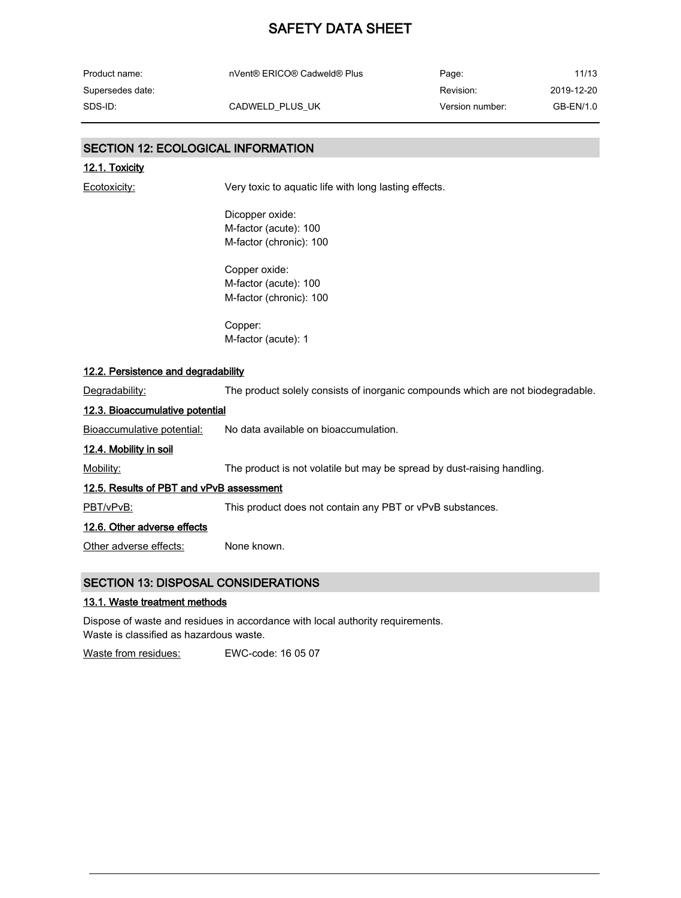| Product name:    | nVent® ERICO® Cadweld® Plus | Page:           | 11/13      |
|------------------|-----------------------------|-----------------|------------|
| Supersedes date: |                             | Revision:       | 2019-12-20 |
| SDS-ID:          | CADWELD PLUS UK             | Version number: | GB-EN/1.0  |

## SECTION 12: ECOLOGICAL INFORMATION

| <u>ULUTION TZ. LUULUUIUAL INI UNIMATIUN</u> |                                                                                 |  |
|---------------------------------------------|---------------------------------------------------------------------------------|--|
| 12.1. Toxicity                              |                                                                                 |  |
| Ecotoxicity:                                | Very toxic to aquatic life with long lasting effects.                           |  |
|                                             | Dicopper oxide:                                                                 |  |
|                                             | M-factor (acute): 100                                                           |  |
|                                             | M-factor (chronic): 100                                                         |  |
|                                             | Copper oxide:                                                                   |  |
|                                             | M-factor (acute): 100                                                           |  |
|                                             | M-factor (chronic): 100                                                         |  |
|                                             | Copper:                                                                         |  |
|                                             | M-factor (acute): 1                                                             |  |
| 12.2. Persistence and degradability         |                                                                                 |  |
| Degradability:                              | The product solely consists of inorganic compounds which are not biodegradable. |  |
| 12.3. Bioaccumulative potential             |                                                                                 |  |
| Bioaccumulative potential:                  | No data available on bioaccumulation.                                           |  |
| 12.4. Mobility in soil                      |                                                                                 |  |
| Mobility:                                   | The product is not volatile but may be spread by dust-raising handling.         |  |
| 12.5. Results of PBT and vPvB assessment    |                                                                                 |  |
| PBT/vPvB:                                   | This product does not contain any PBT or vPvB substances.                       |  |
| 12.6. Other adverse effects                 |                                                                                 |  |
| Other adverse effects:                      | None known.                                                                     |  |
|                                             |                                                                                 |  |

### SECTION 13: DISPOSAL CONSIDERATIONS

#### 13.1. Waste treatment methods

Dispose of waste and residues in accordance with local authority requirements. Waste is classified as hazardous waste.

Waste from residues: EWC-code: 16 05 07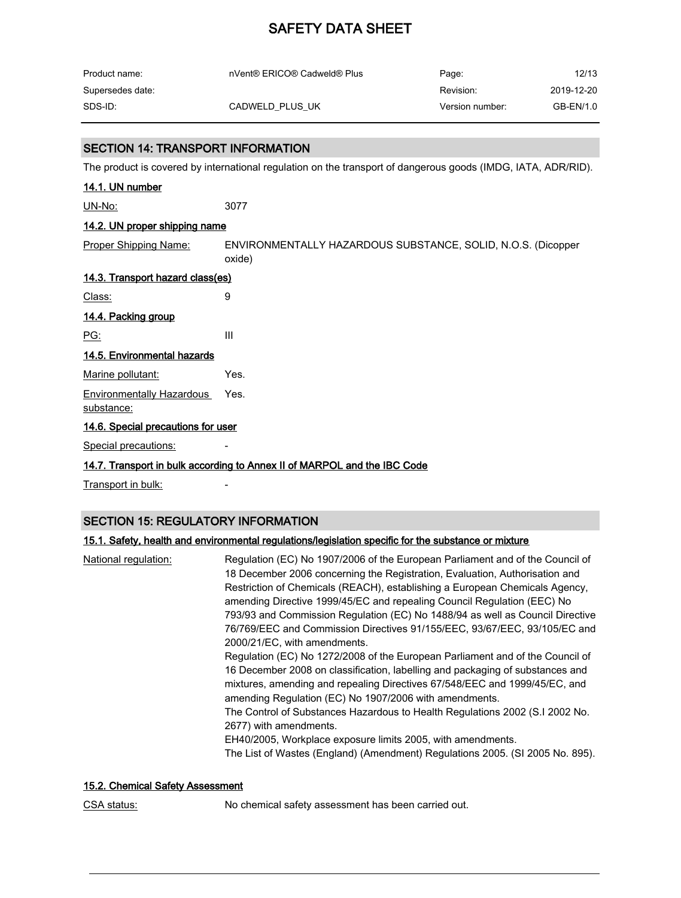| Product name:    | nVent® ERICO® Cadweld® Plus | Page:           | 12/13      |
|------------------|-----------------------------|-----------------|------------|
| Supersedes date: |                             | Revision:       | 2019-12-20 |
| SDS-ID:          | CADWELD PLUS UK             | Version number: | GB-EN/1.0  |

#### SECTION 14: TRANSPORT INFORMATION

The product is covered by international regulation on the transport of dangerous goods (IMDG, IATA, ADR/RID).

| 14.1. UN number                                |                                                                          |  |
|------------------------------------------------|--------------------------------------------------------------------------|--|
| $UN-No:$                                       | 3077                                                                     |  |
| 14.2. UN proper shipping name                  |                                                                          |  |
| <b>Proper Shipping Name:</b>                   | ENVIRONMENTALLY HAZARDOUS SUBSTANCE, SOLID, N.O.S. (Dicopper<br>oxide)   |  |
| 14.3. Transport hazard class(es)               |                                                                          |  |
| Class:                                         | 9                                                                        |  |
| 14.4. Packing group                            |                                                                          |  |
| PG:                                            | III                                                                      |  |
| 14.5. Environmental hazards                    |                                                                          |  |
| Marine pollutant:                              | Yes.                                                                     |  |
| <b>Environmentally Hazardous</b><br>substance: | Yes.                                                                     |  |
| 14.6. Special precautions for user             |                                                                          |  |
| Special precautions:                           |                                                                          |  |
|                                                | 14.7. Transport in bulk according to Annex II of MARPOL and the IBC Code |  |

Transport in bulk: Fransport in bulk:

#### SECTION 15: REGULATORY INFORMATION

#### 15.1. Safety, health and environmental regulations/legislation specific for the substance or mixture

| National regulation: | Regulation (EC) No 1907/2006 of the European Parliament and of the Council of<br>18 December 2006 concerning the Registration, Evaluation, Authorisation and<br>Restriction of Chemicals (REACH), establishing a European Chemicals Agency,<br>amending Directive 1999/45/EC and repealing Council Regulation (EEC) No<br>793/93 and Commission Regulation (EC) No 1488/94 as well as Council Directive<br>76/769/EEC and Commission Directives 91/155/EEC, 93/67/EEC, 93/105/EC and<br>2000/21/EC, with amendments.<br>Regulation (EC) No 1272/2008 of the European Parliament and of the Council of<br>16 December 2008 on classification, labelling and packaging of substances and<br>mixtures, amending and repealing Directives 67/548/EEC and 1999/45/EC, and<br>amending Regulation (EC) No 1907/2006 with amendments.<br>The Control of Substances Hazardous to Health Regulations 2002 (S.I 2002 No.<br>2677) with amendments.<br>EH40/2005, Workplace exposure limits 2005, with amendments. |
|----------------------|---------------------------------------------------------------------------------------------------------------------------------------------------------------------------------------------------------------------------------------------------------------------------------------------------------------------------------------------------------------------------------------------------------------------------------------------------------------------------------------------------------------------------------------------------------------------------------------------------------------------------------------------------------------------------------------------------------------------------------------------------------------------------------------------------------------------------------------------------------------------------------------------------------------------------------------------------------------------------------------------------------|
|                      | The List of Wastes (England) (Amendment) Regulations 2005. (SI 2005 No. 895).                                                                                                                                                                                                                                                                                                                                                                                                                                                                                                                                                                                                                                                                                                                                                                                                                                                                                                                           |

#### 15.2. Chemical Safety Assessment

CSA status: No chemical safety assessment has been carried out.